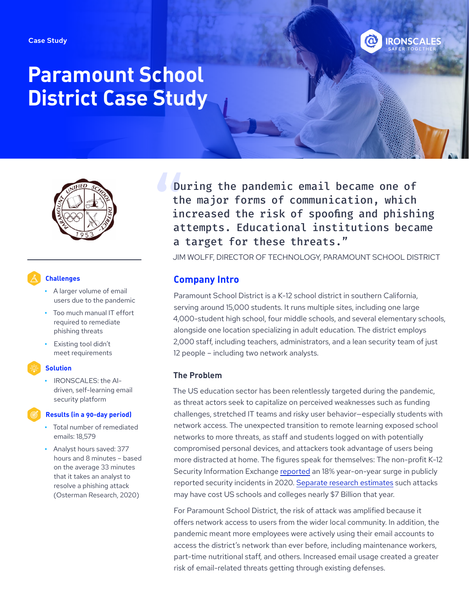

# **Paramount School District Case Study**



## **Challenges**

- **•** A larger volume of email users due to the pandemic
- **•** Too much manual IT effort required to remediate phishing threats
- **•** Existing tool didn't meet requirements

#### **Solution**

**•** IRONSCALES: the AIdriven, self-learning email security platform

#### **Results (in a 90-day period)**

- **•** Total number of remediated emails: 18,579
- **•** Analyst hours saved: 377 hours and 8 minutes – based on the average 33 minutes that it takes an analyst to resolve a phishing attack (Osterman Research, 2020)

During the pandemic email became one of the major forms of communication, which increased the risk of spoofing and phishing attempts. Educational institutions became a target for these threats."

JIM WOLFF, DIRECTOR OF TECHNOLOGY, PARAMOUNT SCHOOL DISTRICT

## **Company Intro**

Paramount School District is a K-12 school district in southern California, serving around 15,000 students. It runs multiple sites, including one large 4,000-student high school, four middle schools, and several elementary schools, alongside one location specializing in adult education. The district employs 2,000 staff, including teachers, administrators, and a lean security team of just 12 people – including two network analysts.

## **The Problem**

The US education sector has been relentlessly targeted during the pandemic, as threat actors seek to capitalize on perceived weaknesses such as funding challenges, stretched IT teams and risky user behavior—especially students with network access. The unexpected transition to remote learning exposed school networks to more threats, as staff and students logged on with potentially compromised personal devices, and attackers took advantage of users being more distracted at home. The figures speak for themselves: The non-profit K-12 Security Information Exchange [reported](https://k12cybersecure.com/wp-content/uploads/2021/03/StateofK12Cybersecurity-2020.pdf) an 18% year-on-year surge in publicly reported security incidents in 2020. [Separate research estimates](https://www.comparitech.com/blog/information-security/school-ransomware-attacks/) such attacks may have cost US schools and colleges nearly \$7 Billion that year.

For Paramount School District, the risk of attack was amplified because it offers network access to users from the wider local community. In addition, the pandemic meant more employees were actively using their email accounts to access the district's network than ever before, including maintenance workers, part-time nutritional staff, and others. Increased email usage created a greater risk of email-related threats getting through existing defenses.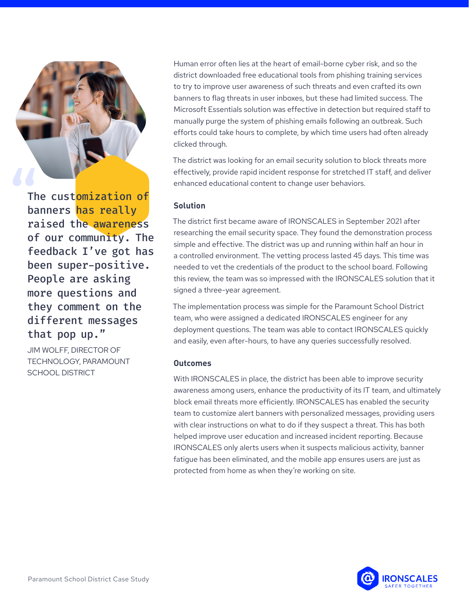

The customization of banners has really raised the awareness of our community. The feedback I've got has been super-positive. People are asking more questions and they comment on the different messages that pop up."

JIM WOLFF, DIRECTOR OF TECHNOLOGY, PARAMOUNT SCHOOL DISTRICT

Human error often lies at the heart of email-borne cyber risk, and so the district downloaded free educational tools from phishing training services to try to improve user awareness of such threats and even crafted its own banners to flag threats in user inboxes, but these had limited success. The Microsoft Essentials solution was effective in detection but required staff to manually purge the system of phishing emails following an outbreak. Such efforts could take hours to complete, by which time users had often already clicked through.

The district was looking for an email security solution to block threats more effectively, provide rapid incident response for stretched IT staff, and deliver enhanced educational content to change user behaviors.

## **Solution**

The district first became aware of IRONSCALES in September 2021 after researching the email security space. They found the demonstration process simple and effective. The district was up and running within half an hour in a controlled environment. The vetting process lasted 45 days. This time was needed to vet the credentials of the product to the school board. Following this review, the team was so impressed with the IRONSCALES solution that it signed a three-year agreement.

The implementation process was simple for the Paramount School District team, who were assigned a dedicated IRONSCALES engineer for any deployment questions. The team was able to contact IRONSCALES quickly and easily, even after-hours, to have any queries successfully resolved.

#### **Outcomes**

With IRONSCALES in place, the district has been able to improve security awareness among users, enhance the productivity of its IT team, and ultimately block email threats more efficiently. IRONSCALES has enabled the security team to customize alert banners with personalized messages, providing users with clear instructions on what to do if they suspect a threat. This has both helped improve user education and increased incident reporting. Because IRONSCALES only alerts users when it suspects malicious activity, banner fatigue has been eliminated, and the mobile app ensures users are just as protected from home as when they're working on site.

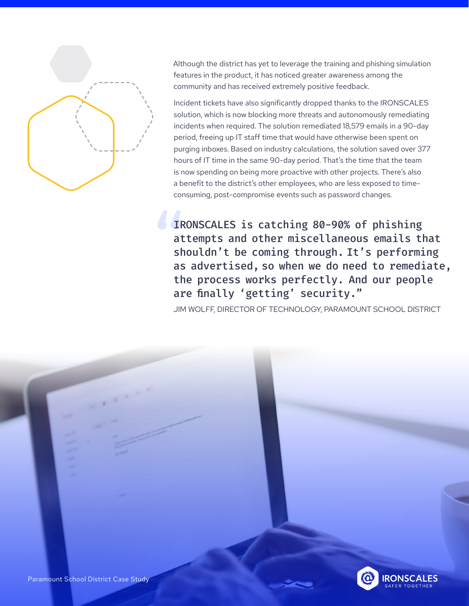

Although the district has yet to leverage the training and phishing simulation features in the product, it has noticed greater awareness among the community and has received extremely positive feedback.

Incident tickets have also significantly dropped thanks to the IRONSCALES solution, which is now blocking more threats and autonomously remediating incidents when required. The solution remediated 18,579 emails in a 90-day period, freeing up IT staff time that would have otherwise been spent on purging inboxes. Based on industry calculations, the solution saved over 377 hours of IT time in the same 90-day period. That's the time that the team is now spending on being more proactive with other projects. There's also a benefit to the district's other employees, who are less exposed to timeconsuming, post-compromise events such as password changes.

IRONSCALES is catching 80-90% of phishing attempts and other miscellaneous emails that shouldn't be coming through. It's performing as advertised, so when we do need to remediate, the process works perfectly. And our people are finally 'getting' security."

JIM WOLFF, DIRECTOR OF TECHNOLOGY, PARAMOUNT SCHOOL DISTRICT